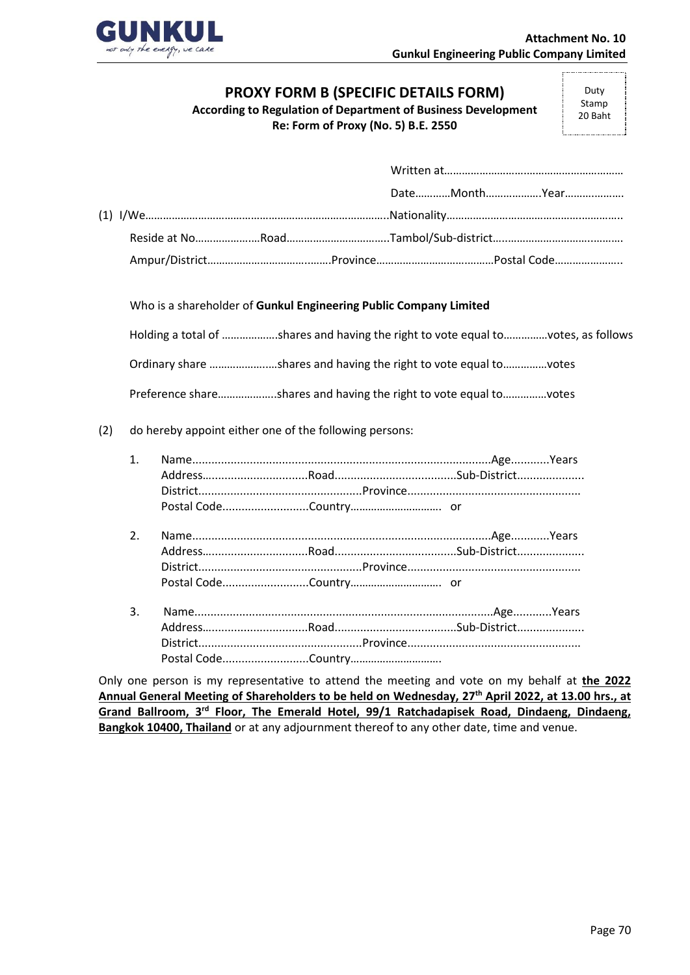

## **PROXY FORM B (SPECIFIC DETAILS FORM)**

**According to Regulation of Department of Business Development**

**Re: Form of Proxy (No. 5) B.E. 2550**

Duty Stamp 20 Baht

Who is a shareholder of **Gunkul Engineering Public Company Limited**

Holding a total of ……………….shares and having the right to vote equal to……………votes, as follows

Ordinary share ………………..…shares and having the right to vote equal to……………votes

Preference share………………..shares and having the right to vote equal to……………votes

## (2) do hereby appoint either one of the following persons:

- 2. Name.............................................................................................Age............Years Address…..............................Road......................................Sub-District..................... District...................................................Province...................................................... Postal Code...........................Country…………………………. or
- 3. Name.............................................................................................Age............Years Address…..............................Road......................................Sub-District..................... District...................................................Province...................................................... Postal Code...........................Country………………………….

Only one person is my representative to attend the meeting and vote on my behalf at **the 2022 Annual General Meeting of Shareholders to be held on Wednesday, 27th April 2022, at 13.00 hrs., at**  Grand Ballroom, 3<sup>rd</sup> Floor, The Emerald Hotel, 99/1 Ratchadapisek Road, Dindaeng, Dindaeng, **Bangkok 10400, Thailand** or at any adjournment thereof to any other date, time and venue.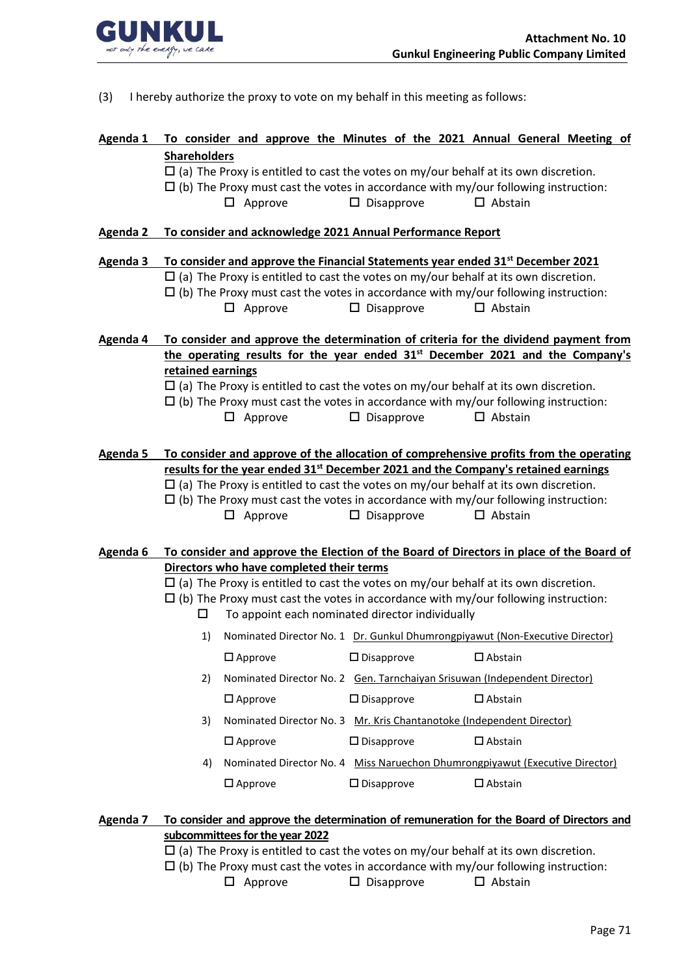

- (3) I hereby authorize the proxy to vote on my behalf in this meeting as follows:
- **Agenda 1 To consider and approve the Minutes of the 2021 Annual General Meeting of Shareholders**
	- $\Box$  (a) The Proxy is entitled to cast the votes on my/our behalf at its own discretion.
	- $\Box$  (b) The Proxy must cast the votes in accordance with my/our following instruction:
		- $\square$  Approve  $\square$  Disapprove  $\square$  Abstain
- **Agenda 2 To consider and acknowledge 2021 Annual Performance Report**
- **Agenda 3 To consider and approve the Financial Statements year ended 31st December 2021**
	- $\Box$  (a) The Proxy is entitled to cast the votes on my/our behalf at its own discretion.
	- $\Box$  (b) The Proxy must cast the votes in accordance with my/our following instruction:
		- $\Box$  Approve  $\Box$  Disapprove  $\Box$  Abstain
- **Agenda 4 To consider and approve the determination of criteria for the dividend payment from the operating results for the year ended 31st December 2021 and the Company's retained earnings**
	- $\Box$  (a) The Proxy is entitled to cast the votes on my/our behalf at its own discretion.
	- $\Box$  (b) The Proxy must cast the votes in accordance with my/our following instruction:  $\square$  Approve  $\square$  Disapprove  $\square$  Abstain
- **Agenda 5 To consider and approve of the allocation of comprehensive profits from the operating results for the year ended 31st December 2021 and the Company's retained earnings**
	- $\Box$  (a) The Proxy is entitled to cast the votes on my/our behalf at its own discretion.
	- $\Box$  (b) The Proxy must cast the votes in accordance with my/our following instruction:
		- $\square$  Approve  $\square$  Disapprove  $\square$  Abstain
- **Agenda 6 To consider and approve the Election of the Board of Directors in place of the Board of Directors who have completed their terms**
	- $\Box$  (a) The Proxy is entitled to cast the votes on my/our behalf at its own discretion.
	- $\Box$  (b) The Proxy must cast the votes in accordance with my/our following instruction:
		- $\square$  To appoint each nominated director individually
		- 1) Nominated Director No. 1 Dr. Gunkul Dhumrongpiyawut (Non-Executive Director)  $\square$  Approve  $\square$  Disapprove  $\square$  Abstain 2) Nominated Director No. 2 Gen. Tarnchaiyan Srisuwan (Independent Director)  $\square$  Approve  $\square$  Disapprove  $\square$  Abstain 3) Nominated Director No. 3 Mr. Kris Chantanotoke (Independent Director)  $\square$  Approve  $\square$  Disapprove  $\square$  Abstain 4) Nominated Director No. 4 Miss Naruechon Dhumrongpiyawut (Executive Director)  $\square$  Approve  $\square$  Disapprove  $\square$  Abstain

## **Agenda 7 To consider and approve the determination of remuneration for the Board of Directors and subcommittees for the year 2022**

- $\Box$  (a) The Proxy is entitled to cast the votes on my/our behalf at its own discretion.
- $\Box$  (b) The Proxy must cast the votes in accordance with my/our following instruction:
	- $\Box$  Approve  $\Box$  Disapprove  $\Box$  Abstain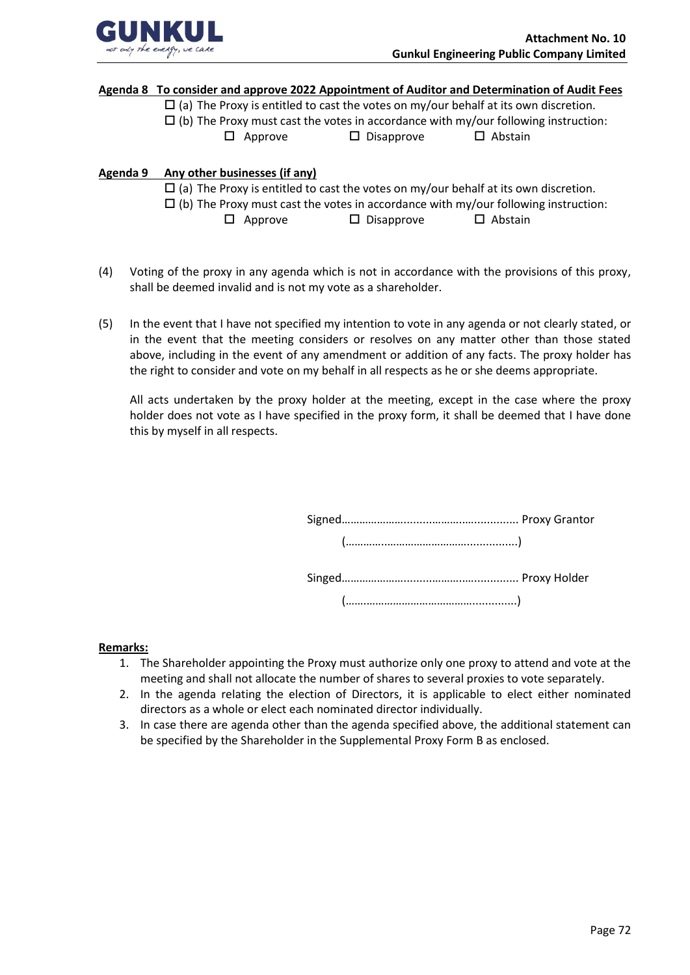

#### **Agenda 8 To consider and approve 2022 Appointment of Auditor and Determination of Audit Fees**

 $\Box$  (a) The Proxy is entitled to cast the votes on my/our behalf at its own discretion.

 $\Box$  (b) The Proxy must cast the votes in accordance with my/our following instruction:

 $\square$  Approve  $\square$  Disapprove  $\square$  Abstain

### **Agenda 9 Any other businesses (if any)**

 $\Box$  (a) The Proxy is entitled to cast the votes on my/our behalf at its own discretion.

- $\Box$  (b) The Proxy must cast the votes in accordance with my/our following instruction:
	- $\Box$  Approve  $\Box$  Disapprove  $\Box$  Abstain
- (4) Voting of the proxy in any agenda which is not in accordance with the provisions of this proxy, shall be deemed invalid and is not my vote as a shareholder.
- (5) In the event that I have not specified my intention to vote in any agenda or not clearly stated, or in the event that the meeting considers or resolves on any matter other than those stated above, including in the event of any amendment or addition of any facts. The proxy holder has the right to consider and vote on my behalf in all respects as he or she deems appropriate.

All acts undertaken by the proxy holder at the meeting, except in the case where the proxy holder does not vote as I have specified in the proxy form, it shall be deemed that I have done this by myself in all respects.

#### **Remarks:**

- 1. The Shareholder appointing the Proxy must authorize only one proxy to attend and vote at the meeting and shall not allocate the number of shares to several proxies to vote separately.
- 2. In the agenda relating the election of Directors, it is applicable to elect either nominated directors as a whole or elect each nominated director individually.
- 3. In case there are agenda other than the agenda specified above, the additional statement can be specified by the Shareholder in the Supplemental Proxy Form B as enclosed.